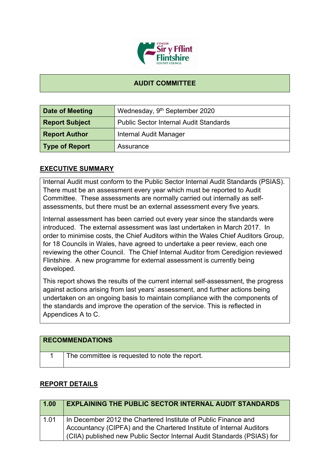

## **AUDIT COMMITTEE**

| Date of Meeting       | Wednesday, 9 <sup>th</sup> September 2020     |
|-----------------------|-----------------------------------------------|
| <b>Report Subject</b> | <b>Public Sector Internal Audit Standards</b> |
| <b>Report Author</b>  | Internal Audit Manager                        |
| <b>Type of Report</b> | Assurance                                     |

## **EXECUTIVE SUMMARY**

Internal Audit must conform to the Public Sector Internal Audit Standards (PSIAS). There must be an assessment every year which must be reported to Audit Committee. These assessments are normally carried out internally as selfassessments, but there must be an external assessment every five years.

Internal assessment has been carried out every year since the standards were introduced. The external assessment was last undertaken in March 2017. In order to minimise costs, the Chief Auditors within the Wales Chief Auditors Group, for 18 Councils in Wales, have agreed to undertake a peer review, each one reviewing the other Council. The Chief Internal Auditor from Ceredigion reviewed Flintshire. A new programme for external assessment is currently being developed.

This report shows the results of the current internal self-assessment, the progress against actions arising from last years' assessment, and further actions being undertaken on an ongoing basis to maintain compliance with the components of the standards and improve the operation of the service. This is reflected in Appendices A to C.

| <b>RECOMMENDATIONS</b>                         |
|------------------------------------------------|
| The committee is requested to note the report. |

## **REPORT DETAILS**

| 1.00 | <b>EXPLAINING THE PUBLIC SECTOR INTERNAL AUDIT STANDARDS</b>                                                                                                                                                      |
|------|-------------------------------------------------------------------------------------------------------------------------------------------------------------------------------------------------------------------|
| 1.01 | In December 2012 the Chartered Institute of Public Finance and<br>Accountancy (CIPFA) and the Chartered Institute of Internal Auditors<br>(CIIA) published new Public Sector Internal Audit Standards (PSIAS) for |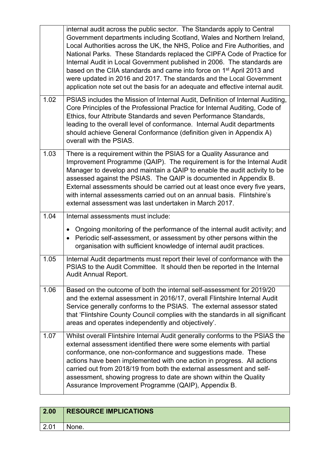|      | internal audit across the public sector. The Standards apply to Central<br>Government departments including Scotland, Wales and Northern Ireland,<br>Local Authorities across the UK, the NHS, Police and Fire Authorities, and<br>National Parks. These Standards replaced the CIPFA Code of Practice for<br>Internal Audit in Local Government published in 2006. The standards are<br>based on the CIIA standards and came into force on 1 <sup>st</sup> April 2013 and<br>were updated in 2016 and 2017. The standards and the Local Government<br>application note set out the basis for an adequate and effective internal audit. |
|------|-----------------------------------------------------------------------------------------------------------------------------------------------------------------------------------------------------------------------------------------------------------------------------------------------------------------------------------------------------------------------------------------------------------------------------------------------------------------------------------------------------------------------------------------------------------------------------------------------------------------------------------------|
| 1.02 | PSIAS includes the Mission of Internal Audit, Definition of Internal Auditing,<br>Core Principles of the Professional Practice for Internal Auditing, Code of<br>Ethics, four Attribute Standards and seven Performance Standards,<br>leading to the overall level of conformance. Internal Audit departments<br>should achieve General Conformance (definition given in Appendix A)<br>overall with the PSIAS.                                                                                                                                                                                                                         |
| 1.03 | There is a requirement within the PSIAS for a Quality Assurance and<br>Improvement Programme (QAIP). The requirement is for the Internal Audit<br>Manager to develop and maintain a QAIP to enable the audit activity to be<br>assessed against the PSIAS. The QAIP is documented in Appendix B.<br>External assessments should be carried out at least once every five years,<br>with internal assessments carried out on an annual basis. Flintshire's<br>external assessment was last undertaken in March 2017.                                                                                                                      |
| 1.04 | Internal assessments must include:                                                                                                                                                                                                                                                                                                                                                                                                                                                                                                                                                                                                      |
|      | Ongoing monitoring of the performance of the internal audit activity; and<br>$\bullet$                                                                                                                                                                                                                                                                                                                                                                                                                                                                                                                                                  |
|      | Periodic self-assessment, or assessment by other persons within the<br>$\bullet$<br>organisation with sufficient knowledge of internal audit practices.                                                                                                                                                                                                                                                                                                                                                                                                                                                                                 |
| 1.05 | Internal Audit departments must report their level of conformance with the<br>PSIAS to the Audit Committee. It should then be reported in the Internal<br><b>Audit Annual Report.</b>                                                                                                                                                                                                                                                                                                                                                                                                                                                   |
| 1.06 | Based on the outcome of both the internal self-assessment for 2019/20<br>and the external assessment in 2016/17, overall Flintshire Internal Audit<br>Service generally conforms to the PSIAS. The external assessor stated<br>that 'Flintshire County Council complies with the standards in all significant<br>areas and operates independently and objectively'.                                                                                                                                                                                                                                                                     |

| 2.00 | <b>RESOURCE IMPLICATIONS</b> |
|------|------------------------------|
| 2.01 | None.                        |